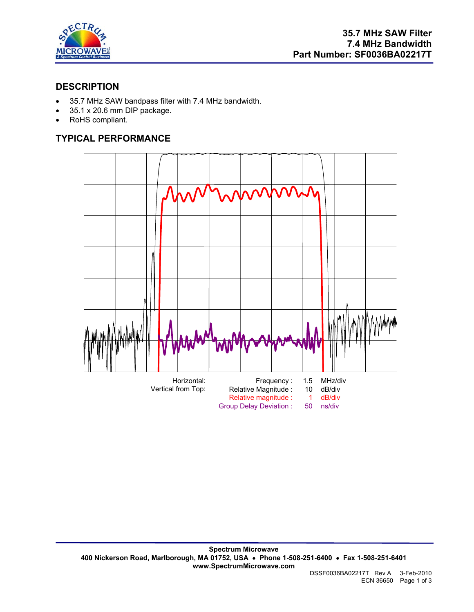

## **DESCRIPTION**

- 35.7 MHz SAW bandpass filter with 7.4 MHz bandwidth.
- 35.1 x 20.6 mm DIP package.
- RoHS compliant.

# **TYPICAL PERFORMANCE**

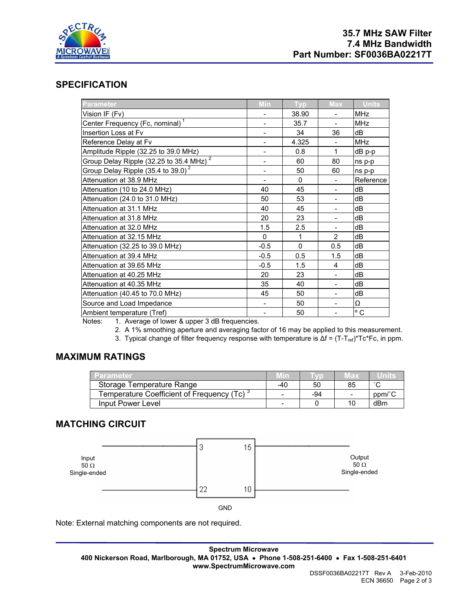

### **SPECIFICATION**

| <b>Parameter</b>                            | Min                      | <b>Typ</b> | <b>Max</b>                   | <b>Units</b> |
|---------------------------------------------|--------------------------|------------|------------------------------|--------------|
| Vision IF (Fv)                              |                          | 38.90      |                              | <b>MHz</b>   |
| Center Frequency (Fc, nominal) <sup>1</sup> | $\overline{\phantom{0}}$ | 35.7       | $\qquad \qquad \blacksquare$ | <b>MHz</b>   |
| Insertion Loss at Fv                        |                          | 34         | 36                           | dB           |
| Reference Delay at Fv                       |                          | 4.325      |                              | <b>MHz</b>   |
| Amplitude Ripple (32.25 to 39.0 MHz)        |                          | 0.8        | $\mathbf{1}$                 | dB p-p       |
| 2<br>Group Delay Ripple (32.25 to 35.4 MHz) | $\overline{a}$           | 60         | 80                           | ns p-p       |
| Group Delay Ripple (35.4 to 39.0) $^2$      | $\overline{\phantom{0}}$ | 50         | 60                           | ns p-p       |
| Attenuation at 38.9 MHz                     | $\overline{\phantom{a}}$ | $\Omega$   |                              | Reference    |
| Attenuation (10 to 24.0 MHz)                | 40                       | 45         |                              | dB           |
| Attenuation (24.0 to 31.0 MHz)              | 50                       | 53         |                              | dB           |
| Attenuation at 31.1 MHz                     | 40                       | 45         |                              | dB           |
| Attenuation at 31.8 MHz                     | 20                       | 23         |                              | dB           |
| Attenuation at 32.0 MHz                     | 1.5                      | 2.5        | $\overline{\phantom{a}}$     | dB           |
| Attenuation at 32.15 MHz                    | $\mathbf{0}$             | 1          | $\overline{2}$               | dB           |
| Attenuation (32.25 to 39.0 MHz)             | $-0.5$                   | $\Omega$   | 0.5                          | dB           |
| Attenuation at 39.4 MHz                     | $-0.5$                   | 0.5        | 1.5                          | dB           |
| Attenuation at 39.65 MHz                    | $-0.5$                   | 1.5        | 4                            | dB           |
| Attenuation at 40.25 MHz                    | 20                       | 23         | $\overline{\phantom{a}}$     | dB           |
| Attenuation at 40.35 MHz                    | 35                       | 40         | $\overline{\phantom{0}}$     | dB           |
| Attenuation (40.45 to 70.0 MHz)             | 45                       | 50         |                              | dB           |
| Source and Load Impedance                   |                          | 50         | $\qquad \qquad \blacksquare$ | Ω            |
| Ambient temperature (Tref)                  |                          | 50         |                              | $^{\circ}$ C |
| $M = 1 - 4$ $A = 0.1$                       |                          |            |                              |              |

Notes: 1. Average of lower & upper 3 dB frequencies.

2. A 1% smoothing aperture and averaging factor of 16 may be applied to this measurement.

3. Typical change of filter frequency response with temperature is Δf = (T-T<sub>ref)</sub>\*Tc\*Fc, in ppm.

### **MAXIMUM RATINGS**

| Parameter                                              | .VIIn4 |     | 7 E D | unine  |
|--------------------------------------------------------|--------|-----|-------|--------|
| Storage Temperature Range                              | -40    | 50  | 85    | $\sim$ |
| Temperature Coefficient of Frequency (Tc) <sup>3</sup> | -      | -94 | -     | ppm/°C |
| Input Power Level                                      | -      |     | 10    | dBm    |

### **MATCHING CIRCUIT**



Note: External matching components are not required.

**Spectrum Microwave 400 Nickerson Road, Marlborough, MA 01752, USA** • **Phone 1-508-251-6400** • **Fax 1-508-251-6401 www.SpectrumMicrowave.com**